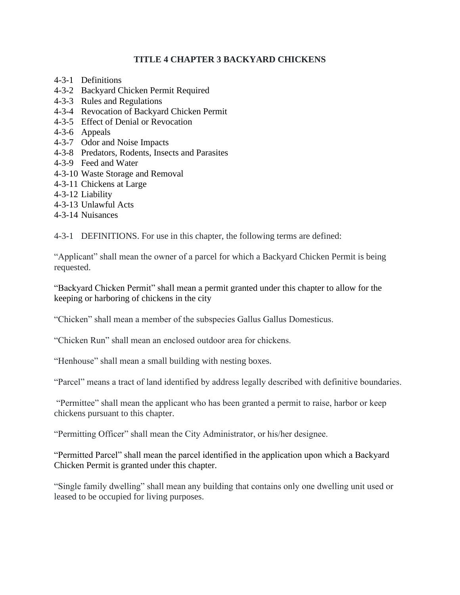### **TITLE 4 CHAPTER 3 BACKYARD CHICKENS**

- 4-3-1 Definitions
- 4-3-2 Backyard Chicken Permit Required
- 4-3-3 Rules and Regulations
- 4-3-4 Revocation of Backyard Chicken Permit
- 4-3-5 Effect of Denial or Revocation
- 4-3-6 Appeals
- 4-3-7 Odor and Noise Impacts
- 4-3-8 Predators, Rodents, Insects and Parasites
- 4-3-9 Feed and Water
- 4-3-10 Waste Storage and Removal
- 4-3-11 Chickens at Large
- 4-3-12 Liability
- 4-3-13 Unlawful Acts
- 4-3-14 Nuisances

4-3-1 DEFINITIONS. For use in this chapter, the following terms are defined:

"Applicant" shall mean the owner of a parcel for which a Backyard Chicken Permit is being requested.

"Backyard Chicken Permit" shall mean a permit granted under this chapter to allow for the keeping or harboring of chickens in the city

"Chicken" shall mean a member of the subspecies Gallus Gallus Domesticus.

"Chicken Run" shall mean an enclosed outdoor area for chickens.

"Henhouse" shall mean a small building with nesting boxes.

"Parcel" means a tract of land identified by address legally described with definitive boundaries.

"Permittee" shall mean the applicant who has been granted a permit to raise, harbor or keep chickens pursuant to this chapter.

"Permitting Officer" shall mean the City Administrator, or his/her designee.

"Permitted Parcel" shall mean the parcel identified in the application upon which a Backyard Chicken Permit is granted under this chapter.

"Single family dwelling" shall mean any building that contains only one dwelling unit used or leased to be occupied for living purposes.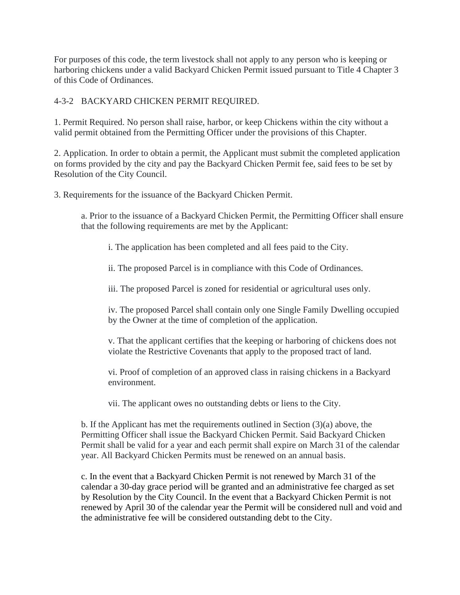For purposes of this code, the term livestock shall not apply to any person who is keeping or harboring chickens under a valid Backyard Chicken Permit issued pursuant to Title 4 Chapter 3 of this Code of Ordinances.

## 4-3-2 BACKYARD CHICKEN PERMIT REQUIRED.

1. Permit Required. No person shall raise, harbor, or keep Chickens within the city without a valid permit obtained from the Permitting Officer under the provisions of this Chapter.

2. Application. In order to obtain a permit, the Applicant must submit the completed application on forms provided by the city and pay the Backyard Chicken Permit fee, said fees to be set by Resolution of the City Council.

3. Requirements for the issuance of the Backyard Chicken Permit.

a. Prior to the issuance of a Backyard Chicken Permit, the Permitting Officer shall ensure that the following requirements are met by the Applicant:

i. The application has been completed and all fees paid to the City.

ii. The proposed Parcel is in compliance with this Code of Ordinances.

iii. The proposed Parcel is zoned for residential or agricultural uses only.

iv. The proposed Parcel shall contain only one Single Family Dwelling occupied by the Owner at the time of completion of the application.

v. That the applicant certifies that the keeping or harboring of chickens does not violate the Restrictive Covenants that apply to the proposed tract of land.

vi. Proof of completion of an approved class in raising chickens in a Backyard environment.

vii. The applicant owes no outstanding debts or liens to the City.

b. If the Applicant has met the requirements outlined in Section (3)(a) above, the Permitting Officer shall issue the Backyard Chicken Permit. Said Backyard Chicken Permit shall be valid for a year and each permit shall expire on March 31 of the calendar year. All Backyard Chicken Permits must be renewed on an annual basis.

c. In the event that a Backyard Chicken Permit is not renewed by March 31 of the calendar a 30-day grace period will be granted and an administrative fee charged as set by Resolution by the City Council. In the event that a Backyard Chicken Permit is not renewed by April 30 of the calendar year the Permit will be considered null and void and the administrative fee will be considered outstanding debt to the City.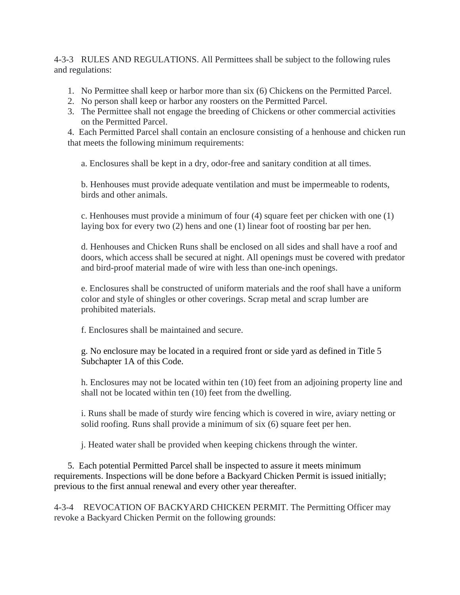4-3-3 RULES AND REGULATIONS. All Permittees shall be subject to the following rules and regulations:

- 1. No Permittee shall keep or harbor more than six (6) Chickens on the Permitted Parcel.
- 2. No person shall keep or harbor any roosters on the Permitted Parcel.
- 3. The Permittee shall not engage the breeding of Chickens or other commercial activities on the Permitted Parcel.

4. Each Permitted Parcel shall contain an enclosure consisting of a henhouse and chicken run that meets the following minimum requirements:

a. Enclosures shall be kept in a dry, odor-free and sanitary condition at all times.

b. Henhouses must provide adequate ventilation and must be impermeable to rodents, birds and other animals.

c. Henhouses must provide a minimum of four (4) square feet per chicken with one (1) laying box for every two (2) hens and one (1) linear foot of roosting bar per hen.

d. Henhouses and Chicken Runs shall be enclosed on all sides and shall have a roof and doors, which access shall be secured at night. All openings must be covered with predator and bird-proof material made of wire with less than one-inch openings.

e. Enclosures shall be constructed of uniform materials and the roof shall have a uniform color and style of shingles or other coverings. Scrap metal and scrap lumber are prohibited materials.

f. Enclosures shall be maintained and secure.

g. No enclosure may be located in a required front or side yard as defined in Title 5 Subchapter 1A of this Code.

h. Enclosures may not be located within ten (10) feet from an adjoining property line and shall not be located within ten (10) feet from the dwelling.

i. Runs shall be made of sturdy wire fencing which is covered in wire, aviary netting or solid roofing. Runs shall provide a minimum of six (6) square feet per hen.

j. Heated water shall be provided when keeping chickens through the winter.

 5. Each potential Permitted Parcel shall be inspected to assure it meets minimum requirements. Inspections will be done before a Backyard Chicken Permit is issued initially; previous to the first annual renewal and every other year thereafter.

4-3-4 REVOCATION OF BACKYARD CHICKEN PERMIT. The Permitting Officer may revoke a Backyard Chicken Permit on the following grounds: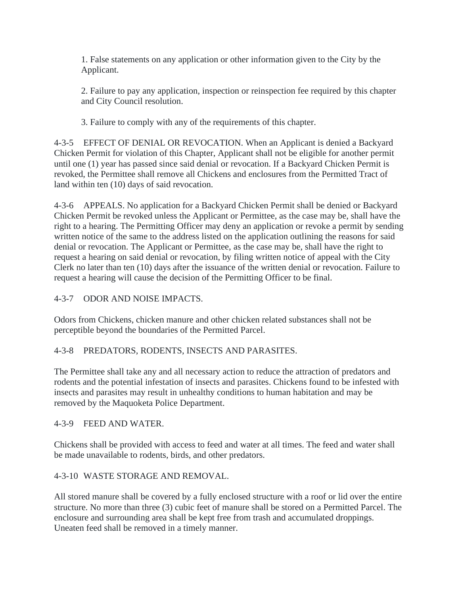1. False statements on any application or other information given to the City by the Applicant.

2. Failure to pay any application, inspection or reinspection fee required by this chapter and City Council resolution.

3. Failure to comply with any of the requirements of this chapter.

4-3-5 EFFECT OF DENIAL OR REVOCATION. When an Applicant is denied a Backyard Chicken Permit for violation of this Chapter, Applicant shall not be eligible for another permit until one (1) year has passed since said denial or revocation. If a Backyard Chicken Permit is revoked, the Permittee shall remove all Chickens and enclosures from the Permitted Tract of land within ten (10) days of said revocation.

4-3-6 APPEALS. No application for a Backyard Chicken Permit shall be denied or Backyard Chicken Permit be revoked unless the Applicant or Permittee, as the case may be, shall have the right to a hearing. The Permitting Officer may deny an application or revoke a permit by sending written notice of the same to the address listed on the application outlining the reasons for said denial or revocation. The Applicant or Permittee, as the case may be, shall have the right to request a hearing on said denial or revocation, by filing written notice of appeal with the City Clerk no later than ten (10) days after the issuance of the written denial or revocation. Failure to request a hearing will cause the decision of the Permitting Officer to be final.

# 4-3-7 ODOR AND NOISE IMPACTS.

Odors from Chickens, chicken manure and other chicken related substances shall not be perceptible beyond the boundaries of the Permitted Parcel.

## 4-3-8 PREDATORS, RODENTS, INSECTS AND PARASITES.

The Permittee shall take any and all necessary action to reduce the attraction of predators and rodents and the potential infestation of insects and parasites. Chickens found to be infested with insects and parasites may result in unhealthy conditions to human habitation and may be removed by the Maquoketa Police Department.

## 4-3-9 FEED AND WATER.

Chickens shall be provided with access to feed and water at all times. The feed and water shall be made unavailable to rodents, birds, and other predators.

## 4-3-10 WASTE STORAGE AND REMOVAL.

All stored manure shall be covered by a fully enclosed structure with a roof or lid over the entire structure. No more than three (3) cubic feet of manure shall be stored on a Permitted Parcel. The enclosure and surrounding area shall be kept free from trash and accumulated droppings. Uneaten feed shall be removed in a timely manner.